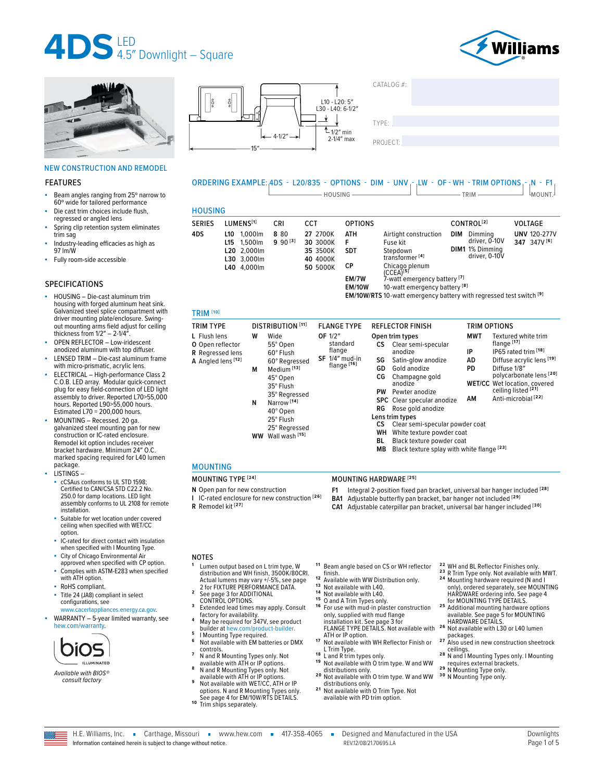





#### NEW CONSTRUCTION AND REMODEL

#### FEATURES

- Beam angles ranging from 25° narrow to 60º wide for tailored performance
- Die cast trim choices include flush, regressed or angled lens
- Spring clip retention system eliminates trim sag
- Industry-leading efficacies as high as 97 lm/W
- Fully room-side accessible

#### SPECIFICATIONS

- HOUSING Die-cast aluminum trim housing with forged aluminum heat sink. Galvanized steel splice compartment with driver mounting plate/enclosure. Swingout mounting arms field adjust for ceiling thickness from 1/2″ – 2-1/4″.
- OPEN REFLECTOR Low-iridescent anodized aluminum with top diffuser.
- LENSED TRIM Die-cast aluminum frame with micro-prismatic, acrylic lens.
- ELECTRICAL High-performance Class 2 C.O.B. LED array. Modular quick-connect plug for easy field-connection of LED light assembly to driver. Reported L70>55,000 hours. Reported L90>55,000 hours. Estimated L70 = 200,000 hours.
- MOUNTING Recessed. 20 ga. galvanized steel mounting pan for new construction or IC-rated enclosure. Remodel kit option includes receiver bracket hardware. Minimum 24″ O.C. marked spacing required for L40 lumen package.
- LISTINGS
	- cCSAus conforms to UL STD 1598; Certified to CAN/CSA STD C22.2 No. 250.0 for damp locations. LED light assembly conforms to UL 2108 for remote installation.
	- Suitable for wet location under covered ceiling when specified with WET/CC option.
	- IC-rated for direct contact with insulation when specified with I Mounting Type.
	- City of Chicago Environmental Air approved when specified with CP option. Complies with ASTM-E283 when specified with ATH option.
	- RoHS compliant.
	- Title 24 (JA8) compliant in select configurations, see
	- [www.cacertappliances.energy.ca.gov.](https://cacertappliances.energy.ca.gov/Pages/ApplianceSearch.aspx)
- $WARRANTY 5$ -year limited warranty, see [hew.com/warranty.](https://www.hew.com/resources/warranty-and-terms)



*Available with BIOS® consult factory*



 $CATAI OG#$ TYPE: ����������������������������������������������������

| ORDERING EXAMPLE: 4DS - L20/835 - OPTIONS - DIM - UNV <sub>I</sub> - <sub>I</sub> LW - OF - WH - TRIM OPTIONS <sub>I</sub> - <sub>I</sub> N - F1 <sub>I</sub> |  |
|---------------------------------------------------------------------------------------------------------------------------------------------------------------|--|
| HOLISING                                                                                                                                                      |  |

| <b>HOUSING</b> |             |
|----------------|-------------|
| C F R I F C    | 1.111171711 |

| <b>SERIES</b> | LUMENS <sup>[1]</sup>                                                      | CRI                 | CCT                                                      | <b>OPTIONS</b>                |                                                                                                                 | CONTROL <sup>[2]</sup> |                                                              | <b>VOLTAGE</b>                                 |
|---------------|----------------------------------------------------------------------------|---------------------|----------------------------------------------------------|-------------------------------|-----------------------------------------------------------------------------------------------------------------|------------------------|--------------------------------------------------------------|------------------------------------------------|
| 4DS           | 1.000lm<br>L10<br>L15 1.500lm<br>L20 2,000lm<br>L30 3,000lm<br>L40 4.000lm | 8 80<br>$990^{[3]}$ | 27 2700K<br>30 3000K<br>35 3500K<br>40 4000K<br>50 5000K | ATH<br>F.<br><b>SDT</b><br>СP | Airtight construction<br>Fuse kit<br>Stepdown<br>transformer <sup>[4]</sup><br>Chicago plenum<br>$(CCEA)^{[5]}$ | <b>DIM</b>             | Dimming<br>driver, 0-10V<br>DIM1 1% Dimming<br>driver, 0-10V | <b>UNV 120-277V</b><br>347 347V <sup>[6]</sup> |
|               |                                                                            |                     |                                                          | EM/7W                         | 7-watt emergency battery [7]                                                                                    |                        |                                                              |                                                |

**EM/10W** 10-watt emergency battery **[8]**

**EM/10W/RTS** 10-watt emergency battery with regressed test switch **[9]**

### TRIM **[10]**

| <b>TRIM TYPE</b>                                                                  | <b>DISTRIBUTION</b> [11]                                                                                                 | <b>FLANGE TYPE</b>                                               | <b>REFLECTOR FINISH</b>                                                                                                                                                                                                |                              | <b>TRIM OPTIONS</b>                                                                                                                                                       |
|-----------------------------------------------------------------------------------|--------------------------------------------------------------------------------------------------------------------------|------------------------------------------------------------------|------------------------------------------------------------------------------------------------------------------------------------------------------------------------------------------------------------------------|------------------------------|---------------------------------------------------------------------------------------------------------------------------------------------------------------------------|
| L Flush lens<br>O Open reflector<br><b>R</b> Regressed lens<br>A Angled lens [12] | w<br>Wide<br>55° Open<br>60° Flush<br>60° Regressed<br>Medium <sup>[13]</sup><br>М<br>45° Open                           | OF 1/2"<br>standard<br>flange<br>$SF$ 1/4" mud-in<br>flange [16] | Open trim types<br>СS<br>Clear semi-specular<br>anodize<br>SG<br>Satin-glow anodize<br>GD<br>Gold anodize<br>СG<br>Champagne gold<br>anodize                                                                           | MWT<br>IP<br>AD<br><b>PD</b> | Textured white trim<br>flange [17]<br>IP65 rated trim [18]<br>Diffuse acrylic lens [19]<br>Diffuse 1/8"<br>polycarbonate lens [20]<br><b>WET/CC</b> Wet location, covered |
|                                                                                   | 35° Flush<br>35° Regressed<br>Narrow <sup>[14]</sup><br>N<br>40° Open<br>25° Flush<br>25° Regressed<br>WW Wall wash [15] |                                                                  | Pewter anodize<br>PW<br><b>SPC</b> Clear specular anodize<br>Rose gold anodize<br>RG<br>Lens trim types<br>Clear semi-specular powder coat<br>СS<br>WН<br>White texture powder coat<br>Black texture powder coat<br>вL | ΑM                           | ceiling listed [21]<br>Anti-microbial <sup>[22]</sup><br>1221                                                                                                             |

#### MOUNTING

- **N** Open pan for new construction
- **I** IC-rated enclosure for new construction **[26] R** Remodel kit **[27]**

#### MOUNTING TYPE **[24]** MOUNTING HARDWARE **[25]**

- **F1** Integral 2-position fixed pan bracket, universal bar hanger included **[28]**
- **BA1** Adjustable butterfly pan bracket, bar hanger not included **[29]**
- **CA1** Adjustable caterpillar pan bracket, universal bar hanger included **[30]**

#### NOTES

- **<sup>1</sup>** Lumen output based on L trim type, W distribution and WH finish, 3500K/80CRI. Actual lumens may vary +/-5%, [see page](#page-1-0)  [2 for FIXTURE PERFORMANCE DATA.](#page-1-0) **<sup>2</sup>** [See page 3 for ADDITIONAL](#page-2-0)
- 
- **[CONTROL OPTIONS.](#page-2-0)**<br> **3** Extended lead times may apply. Consult<br>
factory for availability.
- May be required for 347V, see product<br>builder at hew.com/product-builder.
- 
- **builder at heating Type required.**<br>**5**<br>**5** Not available with EM batteries or DMX<br>controls
- controls. **<sup>7</sup>** N and R Mounting Types only. Not
- available with ATH or IP options. **<sup>8</sup>** N and R Mounting Types only. Not
- **9 Not available with ATH or IP options.**<br> **9** Not available with WET/CC, ATH or IP<br>
options. N and R Mounting Types only.<br> [See page 4 for EM/10W/RTS DETAILS.](#page-3-0)<br> **10** Trim ships separately.
- <sup>11</sup> Beam angle based on CS or WH reflector<br>finish.
- 
- 
- 
- <sup>12</sup> Available with WW Distribution only.<br><sup>13</sup> Not available with L40.<br><sup>14</sup> Not available with L40.<br><sup>14</sup> O and A Trim Types only.<br><sup>16</sup> Fo use with mud-in plaster construction<br>only, supplied with mud flange installation kit. [See page 3 for](#page-2-1)  [FLANGE TYPE DETAILS.](#page-2-1) Not available with
- ATH or IP option.<br>
17 Not available with WH Reflector Finish or<br>
18 L and R trim types only.<br>
<sup>18</sup> L and R trim types only.
- 
- 19 Not available with O trim type. W and WW
- distributions only.<br> **20** Not available with O trim type. W and WW
- distributions only.<br>
<sup>21</sup> Not available with O Trim Type. Not available with PD trim option.
- 
- **22** WH and BL Reflector Finishes only.<br> **23** R Trim Type only. Not available with MWT.<br> **24** Mounting hardware required (N and I
	- only), ordered separately, see MOUNTING HARDWARE ordering info. [See page 4](#page-3-1)
- [for MOUNTING TYPE DETAILS.](#page-3-1) **2 5** Additional mounting hardware options available. [See page 5 for MOUNTING](#page-4-0)
- [HARDWARE DETAILS.](#page-4-0)<br>Not available with L30 or L40 lumen<br>packages.
- 27 Also used in new construction sheetrock<br>reilings
- 28 N and I Mounting Types only. I Mounting requires external brackets. **2 9** N Mounting Type only. **3 0** N Mounting Type only.
- 
- 

Information contained herein is subject to change without notice.

H.E. Williams, Inc. • Carthage, Missouri • www.hew.com • 417-358-4065 • Designed and Manufactured in the USA REV.12/08/21.70695.LA Page 1 of 5

**MB** Black texture splay with white flange **[23]**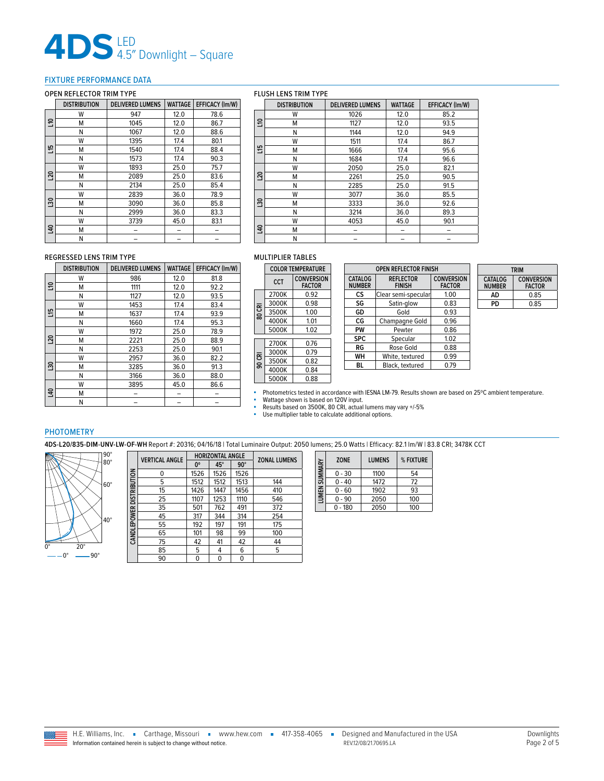# **4DS** LED 4.5″ Downlight – Square

#### <span id="page-1-0"></span>FIXTURE PERFORMANCE DATA

#### OPEN REFLECTOR TRIM TYPE

### FLUSH LENS TRIM TYPE

|                 | DISTRIBUTION | <b>DELIVERED LUMENS</b> | WATTAGE | EFFICACY (Im/W) |
|-----------------|--------------|-------------------------|---------|-----------------|
|                 | W            | 947                     | 12.0    | 78.6            |
| 91              | М            | 1045                    | 12.0    | 86.7            |
|                 | Ν            | 1067                    | 12.0    | 88.6            |
|                 | W            | 1395                    | 17.4    | 80.1            |
| 읲               | Μ            | 1540                    | 17.4    | 88.4            |
|                 | Ν            | 1573                    | 17.4    | 90.3            |
|                 | W            | 1893                    | 25.0    | 75.7            |
| 50              | М            | 2089                    | 25.0    | 83.6            |
|                 | Ν            | 2134                    | 25.0    | 85.4            |
|                 | W            | 2839                    | 36.0    | 78.9            |
| $\overline{30}$ | М            | 3090                    | 36.0    | 85.8            |
|                 | Ν            | 2999                    | 36.0    | 83.3            |
|                 | W            | 3739                    | 45.0    | 83.1            |
| $\overline{a}$  | м            |                         |         |                 |
|                 | Ν            |                         |         |                 |

|                | <b>DISTRIBUTION</b> | <b>DELIVERED LUMENS</b> | <b>WATTAGE</b> | <b>EFFICACY (Im/W)</b> |
|----------------|---------------------|-------------------------|----------------|------------------------|
|                | W                   | 1026                    | 12.0           | 85.2                   |
| ទ              | М                   | 1127                    | 12.0           | 93.5                   |
|                | N                   | 1144                    | 12.0           | 94.9                   |
|                | W                   | 1511                    | 17.4           | 86.7                   |
| 뿐              | М                   | 1666                    | 17.4           | 95.6                   |
|                | N                   | 1684                    | 17.4           | 96.6                   |
|                | W                   | 2050                    | 25.0           | 82.1                   |
| $^{20}$        | М                   | 2261                    | 25.0           | 90.5                   |
|                | N                   | 2285                    | 25.0           | 91.5                   |
|                | W                   | 3077                    | 36.0           | 85.5                   |
| $\frac{20}{3}$ | M                   | 3333                    | 36.0           | 92.6                   |
|                | N                   | 3214                    | 36.0           | 89.3                   |
|                | W                   | 4053                    | 45.0           | 90.1                   |
| $\overline{a}$ | М                   |                         |                |                        |
|                | N                   |                         |                |                        |

#### REGRESSED LENS TRIM TYPE

|                 | <b>DISTRIBUTION</b> | <b>DELIVERED LUMENS</b> | <b>WATTAGE</b> | EFFICACY (Im/W) |
|-----------------|---------------------|-------------------------|----------------|-----------------|
|                 | W                   | 986                     | 12.0           | 81.8            |
| 응               | М                   | 1111                    | 12.0           | 92.2            |
|                 | N                   | 1127                    | 12.0           | 93.5            |
|                 | W                   | 1453                    | 17.4           | 83.4            |
| 쁰               | М                   | 1637                    | 17.4           | 93.9            |
|                 | N                   | 1660                    | 17.4           | 95.3            |
|                 | W                   | 1972                    | 25.0           | 78.9            |
| L <sub>20</sub> | М                   | 2221                    | 25.0           | 88.9            |
|                 | N                   | 2253                    | 25.0           | 90.1            |
|                 | W                   | 2957                    | 36.0           | 82.2            |
| $\overline{30}$ | М                   | 3285                    | 36.0           | 91.3            |
|                 | Ν                   | 3166                    | 36.0           | 88.0            |
|                 | W                   | 3895                    | 45.0           | 86.6            |
| $\overline{a}$  | М                   |                         |                |                 |
|                 | N                   |                         |                |                 |

#### MULTIPLIER TABLES

|        | <b>COLOR TEMPERATURE</b> |                                    |  |  |
|--------|--------------------------|------------------------------------|--|--|
|        | <b>CCT</b>               | <b>CONVERSION</b><br><b>FACTOR</b> |  |  |
|        | 2700K                    | 0.92                               |  |  |
|        | 3000K                    | 0.98                               |  |  |
| 80 CRI | 3500K                    | 1.00                               |  |  |
|        | 4000K                    | 1.01                               |  |  |
|        | 5000K                    | 1.02                               |  |  |
|        | 2700K                    | 0.76                               |  |  |
|        | 3000K                    | በ 79                               |  |  |
| 90 CRI | 3500K                    | 0.82                               |  |  |
|        | 4000K                    | 0.84                               |  |  |
|        | 5000K                    | 0.88                               |  |  |
|        |                          |                                    |  |  |

| CATALOG<br><b>REFLECTOR</b><br><b>NUMBER</b><br><b>FINISH</b> |      |  |
|---------------------------------------------------------------|------|--|
| Clear semi-specular                                           | 1.00 |  |
| Satin-glow                                                    | 0.83 |  |
| Gold                                                          | 0.93 |  |
| Champagne Gold                                                | 0.96 |  |
| Pewter                                                        | 0.86 |  |
| Specular                                                      | 1.02 |  |
| Rose Gold                                                     | 0.88 |  |
| White, textured                                               | 0.99 |  |
| Black, textured                                               | 0.79 |  |
|                                                               |      |  |

| <b>TRIM</b>                                                    |      |  |  |
|----------------------------------------------------------------|------|--|--|
| <b>CONVERSION</b><br>CATALOG<br><b>FACTOR</b><br><b>NUMBER</b> |      |  |  |
| ΔD                                                             | 0.85 |  |  |
| PD                                                             | 0.85 |  |  |

■ Photometrics tested in accordance with IESNA LM-79. Results shown are based on 25℃ ambient temperature.

■ Wattage shown is based on 120V input.<br>■ Results based on 3500K, 80 CRI, actual lumens may vary +/-5%<br>■ Use multiplier table to calculate additional options.

#### PHOTOMETRY

**4DS-L20/835-DIM-UNV-LW-OF-WH** Report #: 20316; 04/16/18 | Total Luminaire Output: 2050 lumens; 25.0 Watts | Efficacy: 82.1 lm/W | 83.8 CRI; 3478K CCT



|                          | <b>VERTICAL ANGLE</b> |      | <b>HORIZONTAL ANGLE</b> | <b>ZONAL LUMENS</b> |     |
|--------------------------|-----------------------|------|-------------------------|---------------------|-----|
|                          |                       | 0°   | $45^\circ$              | $90^\circ$          |     |
| CANDLEPOWER DISTRIBUTION | 0                     | 1526 | 1526                    | 1526                |     |
|                          | 5                     | 1512 | 1512                    | 1513                | 144 |
|                          | 15                    | 1426 | 1447                    | 1456                | 410 |
|                          | 25                    | 1107 | 1253                    | 1110                | 546 |
|                          | 35                    | 501  | 762                     | 491                 | 372 |
|                          | 45                    | 317  | 344                     | 314                 | 254 |
|                          | 55                    | 192  | 197                     | 191                 | 175 |
|                          | 65                    | 101  | 98                      | 99                  | 100 |
|                          | 75                    | 42   | 41                      | 42                  | 44  |
|                          | 85                    | 5    | 4                       | 6                   | 5   |
|                          | 90                    | 0    | $\mathbf{0}$            | 0                   |     |

| LUMEN SUMMARY | <b>ZONE</b> | <b>LUMENS</b> | % FIXTURE |
|---------------|-------------|---------------|-----------|
|               | $0 - 30$    | 1100          | 54        |
|               | $0 - 40$    | 1472          | 72        |
|               | $0 - 60$    | 1902          | 93        |
|               | $0 - 90$    | 2050          | 100       |
|               | 0 - 180     | 2050          | 100       |

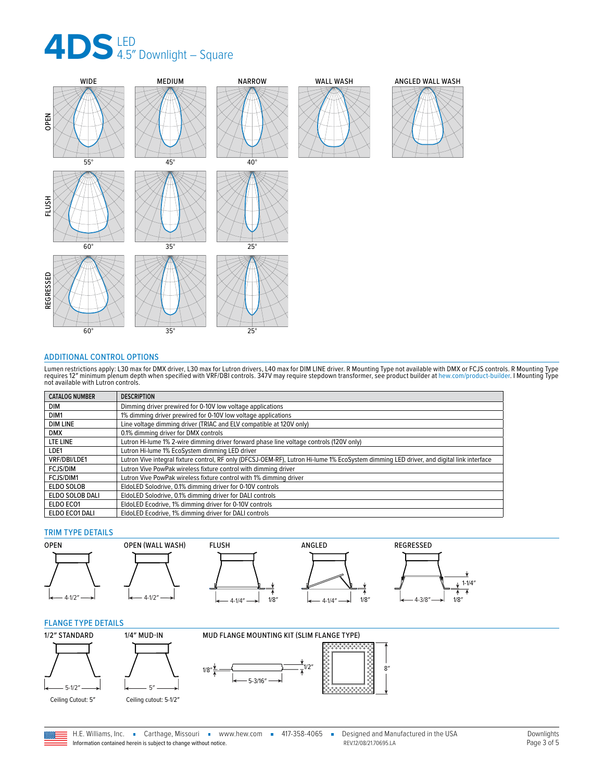

![](_page_2_Figure_1.jpeg)

#### <span id="page-2-0"></span>ADDITIONAL CONTROL OPTIONS

Lumen restrictions apply: L30 max for DMX driver, L30 max for Lutron drivers, L40 max for DIM LINE driver. R Mounting Type not available with DMX or FCJS controls. R Mounting Type<br>requires 12″ minimum plenum depth when spe

| <b>CATALOG NUMBER</b> | <b>DESCRIPTION</b>                                                                                                                       |
|-----------------------|------------------------------------------------------------------------------------------------------------------------------------------|
| <b>DIM</b>            | Dimming driver prewired for 0-10V low voltage applications                                                                               |
| DIM <sub>1</sub>      | 1% dimming driver prewired for 0-10V low voltage applications                                                                            |
| <b>DIM LINE</b>       | Line voltage dimming driver (TRIAC and ELV compatible at 120V only)                                                                      |
| <b>DMX</b>            | 0.1% dimming driver for DMX controls                                                                                                     |
| LTE LINE              | Lutron Hi-lume 1% 2-wire dimming driver forward phase line voltage controls (120V only)                                                  |
| LDE1                  | Lutron Hi-lume 1% EcoSystem dimming LED driver                                                                                           |
| VRF/DBI/LDE1          | Lutron Vive integral fixture control, RF only (DFCSJ-OEM-RF), Lutron Hi-lume 1% EcoSystem dimming LED driver, and digital link interface |
| <b>FCJS/DIM</b>       | Lutron Vive PowPak wireless fixture control with dimming driver                                                                          |
| FCJS/DIM1             | Lutron Vive PowPak wireless fixture control with 1% dimming driver                                                                       |
| ELDO SOLOB            | EldoLED Solodrive, 0.1% dimming driver for 0-10V controls                                                                                |
| ELDO SOLOB DALI       | EldoLED Solodrive, 0.1% dimming driver for DALI controls                                                                                 |
| ELDO ECO1             | EldoLED Ecodrive, 1% dimming driver for 0-10V controls                                                                                   |
| ELDO ECO1 DALI        | EldoLED Ecodrive, 1% dimming driver for DALI controls                                                                                    |

#### TRIM TYPE DETAILS

![](_page_2_Figure_6.jpeg)

#### <span id="page-2-1"></span>FLANGE TYPE DETAILS

![](_page_2_Figure_8.jpeg)

![](_page_2_Figure_9.jpeg)

![](_page_2_Figure_10.jpeg)

![](_page_2_Picture_11.jpeg)

![](_page_2_Picture_12.jpeg)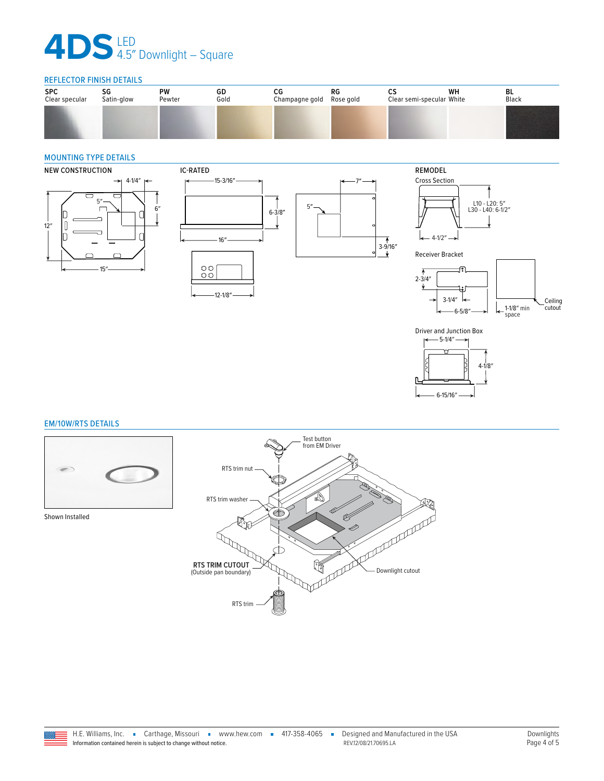# **4DS** LED 4.5″ Downlight – Square

#### REFLECTOR FINISH DETAILS

| <b>SPC</b>     | SG         | PW     | GD   | СG             | RG        | w                         | WH | BL    |
|----------------|------------|--------|------|----------------|-----------|---------------------------|----|-------|
| Clear specular | Satin-glow | Pewter | Gold | Champagne gold | Rose gold | Clear semi-specular White |    | Black |
|                |            |        |      |                |           |                           |    |       |

#### <span id="page-3-1"></span>MOUNTING TYPE DETAILS

![](_page_3_Figure_4.jpeg)

#### <span id="page-3-0"></span>EM/10W/RTS DETAILS

![](_page_3_Picture_6.jpeg)

Shown Installed

![](_page_3_Picture_8.jpeg)

6-15/16″

 $4 - 1/8'$ 

E